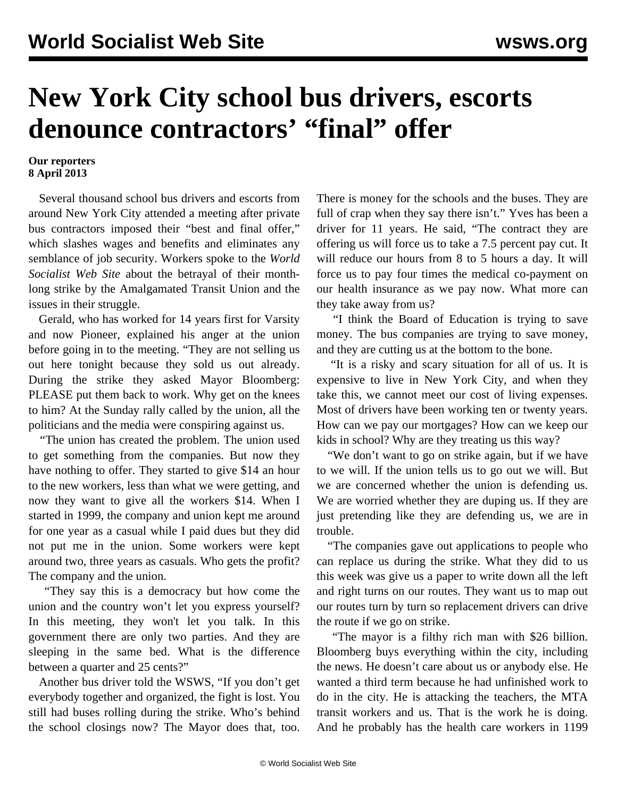## **New York City school bus drivers, escorts denounce contractors' "final" offer**

## **Our reporters 8 April 2013**

 Several thousand school bus drivers and escorts from around New York City attended a meeting after private bus contractors imposed their "best and final offer," which slashes wages and benefits and eliminates any semblance of job security. Workers spoke to the *World Socialist Web Site* about the betrayal of their monthlong strike by the Amalgamated Transit Union and the issues in their struggle.

 Gerald, who has worked for 14 years first for Varsity and now Pioneer, explained his anger at the union before going in to the meeting. "They are not selling us out here tonight because they sold us out already. During the strike they asked Mayor Bloomberg: PLEASE put them back to work. Why get on the knees to him? At the Sunday rally called by the union, all the politicians and the media were conspiring against us.

 "The union has created the problem. The union used to get something from the companies. But now they have nothing to offer. They started to give \$14 an hour to the new workers, less than what we were getting, and now they want to give all the workers \$14. When I started in 1999, the company and union kept me around for one year as a casual while I paid dues but they did not put me in the union. Some workers were kept around two, three years as casuals. Who gets the profit? The company and the union.

 "They say this is a democracy but how come the union and the country won't let you express yourself? In this meeting, they won't let you talk. In this government there are only two parties. And they are sleeping in the same bed. What is the difference between a quarter and 25 cents?"

 Another bus driver told the WSWS, "If you don't get everybody together and organized, the fight is lost. You still had buses rolling during the strike. Who's behind the school closings now? The Mayor does that, too. There is money for the schools and the buses. They are full of crap when they say there isn't." Yves has been a driver for 11 years. He said, "The contract they are offering us will force us to take a 7.5 percent pay cut. It will reduce our hours from 8 to 5 hours a day. It will force us to pay four times the medical co-payment on our health insurance as we pay now. What more can they take away from us?

 "I think the Board of Education is trying to save money. The bus companies are trying to save money, and they are cutting us at the bottom to the bone.

 "It is a risky and scary situation for all of us. It is expensive to live in New York City, and when they take this, we cannot meet our cost of living expenses. Most of drivers have been working ten or twenty years. How can we pay our mortgages? How can we keep our kids in school? Why are they treating us this way?

"We don't want to go on strike again, but if we have to we will. If the union tells us to go out we will. But we are concerned whether the union is defending us. We are worried whether they are duping us. If they are just pretending like they are defending us, we are in trouble.

 "The companies gave out applications to people who can replace us during the strike. What they did to us this week was give us a paper to write down all the left and right turns on our routes. They want us to map out our routes turn by turn so replacement drivers can drive the route if we go on strike.

 "The mayor is a filthy rich man with \$26 billion. Bloomberg buys everything within the city, including the news. He doesn't care about us or anybody else. He wanted a third term because he had unfinished work to do in the city. He is attacking the teachers, the MTA transit workers and us. That is the work he is doing. And he probably has the health care workers in 1199